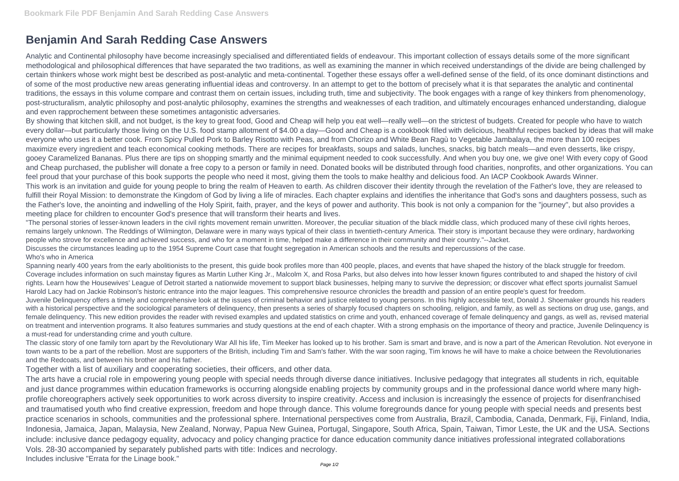## **Benjamin And Sarah Redding Case Answers**

Analytic and Continental philosophy have become increasingly specialised and differentiated fields of endeavour. This important collection of essays details some of the more significant methodological and philosophical differences that have separated the two traditions, as well as examining the manner in which received understandings of the divide are being challenged by certain thinkers whose work might best be described as post-analytic and meta-continental. Together these essays offer a well-defined sense of the field, of its once dominant distinctions and of some of the most productive new areas generating influential ideas and controversy. In an attempt to get to the bottom of precisely what it is that separates the analytic and continental traditions, the essays in this volume compare and contrast them on certain issues, including truth, time and subjectivity. The book engages with a range of key thinkers from phenomenology, post-structuralism, analytic philosophy and post-analytic philosophy, examines the strengths and weaknesses of each tradition, and ultimately encourages enhanced understanding, dialogue and even rapprochement between these sometimes antagonistic adversaries.

By showing that kitchen skill, and not budget, is the key to great food, Good and Cheap will help you eat well—really well—on the strictest of budgets. Created for people who have to watch every dollar—but particularly those living on the U.S. food stamp allotment of \$4.00 a day—Good and Cheap is a cookbook filled with delicious, healthful recipes backed by ideas that will make everyone who uses it a better cook. From Spicy Pulled Pork to Barley Risotto with Peas, and from Chorizo and White Bean Ragù to Vegetable Jambalaya, the more than 100 recipes maximize every ingredient and teach economical cooking methods. There are recipes for breakfasts, soups and salads, lunches, snacks, big batch meals—and even desserts, like crispy, gooey Caramelized Bananas. Plus there are tips on shopping smartly and the minimal equipment needed to cook successfully. And when you buy one, we give one! With every copy of Good and Cheap purchased, the publisher will donate a free copy to a person or family in need. Donated books will be distributed through food charities, nonprofits, and other organizations. You can feel proud that your purchase of this book supports the people who need it most, giving them the tools to make healthy and delicious food. An IACP Cookbook Awards Winner. This work is an invitation and guide for young people to bring the realm of Heaven to earth. As children discover their identity through the revelation of the Father's love, they are released to fulfill their Royal Mission: to demonstrate the Kingdom of God by living a life of miracles. Each chapter explains and identifies the inheritance that God's sons and daughters possess, such as the Father's love, the anointing and indwelling of the Holy Spirit, faith, prayer, and the keys of power and authority. This book is not only a companion for the "journey", but also provides a meeting place for children to encounter God's presence that will transform their hearts and lives.

"The personal stories of lesser-known leaders in the civil rights movement remain unwritten. Moreover, the peculiar situation of the black middle class, which produced many of these civil rights heroes, remains largely unknown. The Reddings of Wilmington, Delaware were in many ways typical of their class in twentieth-century America. Their story is important because they were ordinary, hardworking people who strove for excellence and achieved success, and who for a moment in time, helped make a difference in their community and their country."--Jacket. Discusses the circumstances leading up to the 1954 Supreme Court case that fought segregation in American schools and the results and repercussions of the case. Who's who in America

Spanning nearly 400 years from the early abolitionists to the present, this quide book profiles more than 400 people, places, and events that have shaped the history of the black struggle for freedom. Coverage includes information on such mainstay figures as Martin Luther King Jr., Malcolm X, and Rosa Parks, but also delves into how lesser known figures contributed to and shaped the history of civil rights. Learn how the Housewives' League of Detroit started a nationwide movement to support black businesses, helping many to survive the depression; or discover what effect sports journalist Samuel Harold Lacy had on Jackie Robinson's historic entrance into the major leagues. This comprehensive resource chronicles the breadth and passion of an entire people's quest for freedom. Juvenile Delinquency offers a timely and comprehensive look at the issues of criminal behavior and justice related to young persons. In this highly accessible text, Donald J. Shoemaker grounds his readers with a historical perspective and the sociological parameters of delinquency, then presents a series of sharply focused chapters on schooling, religion, and family, as well as sections on drug use, gangs, and female delinquency. This new edition provides the reader with revised examples and updated statistics on crime and youth, enhanced coverage of female delinquency and gangs, as well as, revised material on treatment and intervention programs. It also features summaries and study questions at the end of each chapter. With a strong emphasis on the importance of theory and practice, Juvenile Delinquency is a must-read for understanding crime and youth culture.

The classic story of one family torn apart by the Revolutionary War All his life, Tim Meeker has looked up to his brother. Sam is smart and brave, and is now a part of the American Revolution. Not everyone in town wants to be a part of the rebellion. Most are supporters of the British, including Tim and Sam's father. With the war soon raging, Tim knows he will have to make a choice between the Revolutionaries and the Redcoats, and between his brother and his father.

Together with a list of auxiliary and cooperating societies, their officers, and other data.

The arts have a crucial role in empowering young people with special needs through diverse dance initiatives. Inclusive pedagogy that integrates all students in rich, equitable and just dance programmes within education frameworks is occurring alongside enabling projects by community groups and in the professional dance world where many highprofile choreographers actively seek opportunities to work across diversity to inspire creativity. Access and inclusion is increasingly the essence of projects for disenfranchised and traumatised youth who find creative expression, freedom and hope through dance. This volume foregrounds dance for young people with special needs and presents best practice scenarios in schools, communities and the professional sphere. International perspectives come from Australia, Brazil, Cambodia, Canada, Denmark, Fiji, Finland, India, Indonesia, Jamaica, Japan, Malaysia, New Zealand, Norway, Papua New Guinea, Portugal, Singapore, South Africa, Spain, Taiwan, Timor Leste, the UK and the USA. Sections include: inclusive dance pedagogy equality, advocacy and policy changing practice for dance education community dance initiatives professional integrated collaborations Vols. 28-30 accompanied by separately published parts with title: Indices and necrology. Includes inclusive "Errata for the Linage book."